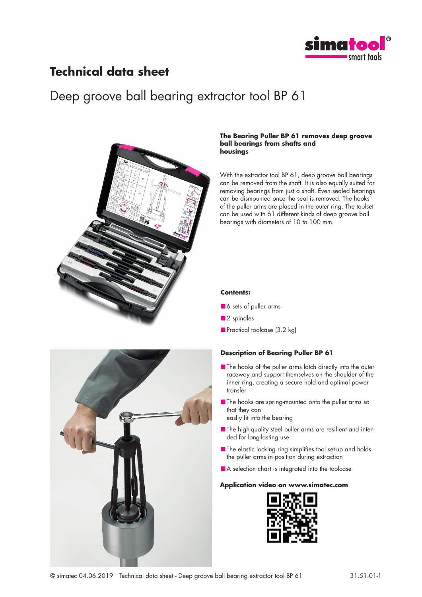

## **Technical data sheet**

# Deep groove ball bearing extractor tool BP 61



#### **The Bearing Puller BP 61 removes deep groove ball bearings from shafts and housings**

With the extractor tool BP 61, deep groove ball bearings can be removed from the shaft. It is also equally suited for removing bearings from just a shaft. Even sealed bearings can be dismounted once the seal is removed. The hooks of the puller arms are placed in the outer ring. The toolset can be used with 61 different kinds of deep groove ball bearings with diameters of 10 to 100 mm.

#### **Contents:**

- 6 sets of puller arms
- 2 spindles
- Practical toolcase (3.2 kg)

### **Description of Bearing Puller BP 61**

- The hooks of the puller arms latch directly into the outer raceway and support themselves on the shoulder of the inner ring, creating a secure hold and optimal power transfer
- The hooks are spring-mounted onto the puller arms so that they can

easliy fit into the bearing

- The high-quality steel puller arms are resilient and intended for long-lasting use
- The elastic locking ring simplifies tool set-up and holds the puller arms in position during extraction
- A selection chart is integrated into the toolcase

#### **Application video on www.simatec.com**





© simatec 04.06.2019 Technical data sheet - Deep groove ball bearing extractor tool BP 61 31.51.01-1